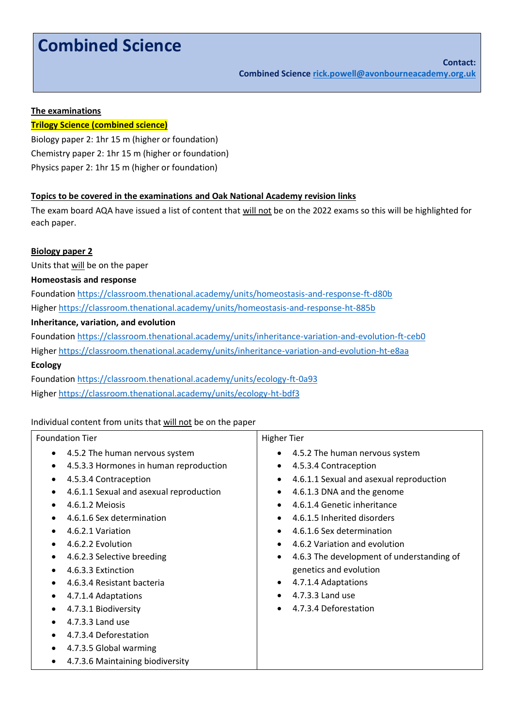# **Combined Science**

#### **The examinations**

#### **Trilogy Science (combined science)**

Biology paper 2: 1hr 15 m (higher or foundation) Chemistry paper 2: 1hr 15 m (higher or foundation) Physics paper 2: 1hr 15 m (higher or foundation)

#### **Topics to be covered in the examinations and Oak National Academy revision links**

The exam board AQA have issued a list of content that will not be on the 2022 exams so this will be highlighted for each paper.

#### **Biology paper 2**

Units that will be on the paper

#### **Homeostasis and response**

Foundatio[n https://classroom.thenational.academy/units/homeostasis-and-response-ft-d80b](https://classroom.thenational.academy/units/homeostasis-and-response-ft-d80b) Higher<https://classroom.thenational.academy/units/homeostasis-and-response-ht-885b>

## **Inheritance, variation, and evolution**

Foundatio[n https://classroom.thenational.academy/units/inheritance-variation-and-evolution-ft-ceb0](https://classroom.thenational.academy/units/inheritance-variation-and-evolution-ft-ceb0) Higher<https://classroom.thenational.academy/units/inheritance-variation-and-evolution-ht-e8aa> **Ecology**

Foundatio[n https://classroom.thenational.academy/units/ecology-ft-0a93](https://classroom.thenational.academy/units/ecology-ft-0a93) Higher<https://classroom.thenational.academy/units/ecology-ht-bdf3>

#### Individual content from units that will not be on the paper

#### Foundation Tier

- 4.5.2 The human nervous system
- 4.5.3.3 Hormones in human reproduction
- 4.5.3.4 Contraception
- 4.6.1.1 Sexual and asexual reproduction
- 4.6.1.2 Meiosis
- 4.6.1.6 Sex determination
- 4.6.2.1 Variation
- 4.6.2.2 Evolution
- 4.6.2.3 Selective breeding
- 4.6.3.3 Extinction
- 4.6.3.4 Resistant bacteria
- 4.7.1.4 Adaptations
- 4.7.3.1 Biodiversity
- 4.7.3.3 Land use
- 4.7.3.4 Deforestation
- 4.7.3.5 Global warming
- 4.7.3.6 Maintaining biodiversity

#### Higher Tier

- 4.5.2 The human nervous system
- 4.5.3.4 Contraception
- 4.6.1.1 Sexual and asexual reproduction
- 4.6.1.3 DNA and the genome
- 4.6.1.4 Genetic inheritance
- 4.6.1.5 Inherited disorders
- 4.6.1.6 Sex determination
- 4.6.2 Variation and evolution
- 4.6.3 The development of understanding of genetics and evolution
- 4.7.1.4 Adaptations
- 4.7.3.3 Land use
- 4.7.3.4 Deforestation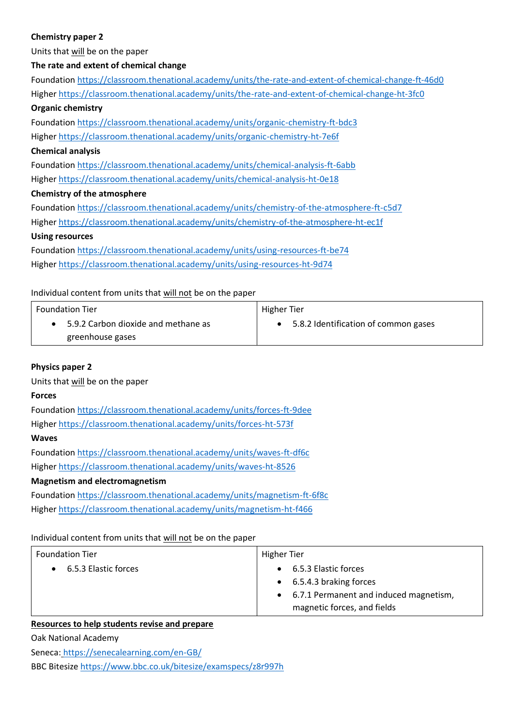## **Chemistry paper 2**

Units that will be on the paper

#### **The rate and extent of chemical change**

| Foundation https://classroom.thenational.academy/units/the-rate-and-extent-of-chemical-change-ft-46d0 |  |  |
|-------------------------------------------------------------------------------------------------------|--|--|
| Higher https://classroom.thenational.academy/units/the-rate-and-extent-of-chemical-change-ht-3fc0     |  |  |
| <b>Organic chemistry</b>                                                                              |  |  |
| Foundation https://classroom.thenational.academy/units/organic-chemistry-ft-bdc3                      |  |  |
| Higher https://classroom.thenational.academy/units/organic-chemistry-ht-7e6f                          |  |  |
| <b>Chemical analysis</b>                                                                              |  |  |
| Foundation https://classroom.thenational.academy/units/chemical-analysis-ft-6abb                      |  |  |
| Higher https://classroom.thenational.academy/units/chemical-analysis-ht-0e18                          |  |  |
| <b>Chemistry of the atmosphere</b>                                                                    |  |  |
| Foundation https://classroom.thenational.academy/units/chemistry-of-the-atmosphere-ft-c5d7            |  |  |
| Higher https://classroom.thenational.academy/units/chemistry-of-the-atmosphere-ht-ec1f                |  |  |
| <b>Using resources</b>                                                                                |  |  |
| Foundation https://classroom.thenational.academy/units/using-resources-ft-be74                        |  |  |

Higher<https://classroom.thenational.academy/units/using-resources-ht-9d74>

#### Individual content from units that will not be on the paper

| <b>Foundation Tier</b>              | Higher Tier                          |
|-------------------------------------|--------------------------------------|
| 5.9.2 Carbon dioxide and methane as | 5.8.2 Identification of common gases |
| greenhouse gases                    |                                      |

#### **Physics paper 2**

Units that will be on the paper

#### **Forces**

Foundation <https://classroom.thenational.academy/units/forces-ft-9dee> Higher <https://classroom.thenational.academy/units/forces-ht-573f> **Waves** Foundation <https://classroom.thenational.academy/units/waves-ft-df6c> Higher <https://classroom.thenational.academy/units/waves-ht-8526>

#### **Magnetism and electromagnetism**

Foundation <https://classroom.thenational.academy/units/magnetism-ft-6f8c> Higher <https://classroom.thenational.academy/units/magnetism-ht-f466>

#### Individual content from units that will not be on the paper

| <b>Foundation Tier</b> | Higher Tier                                                          |
|------------------------|----------------------------------------------------------------------|
| • 6.5.3 Elastic forces | • 6.5.3 Elastic forces                                               |
|                        | • 6.5.4.3 braking forces<br>• 6.7.1 Permanent and induced magnetism, |
|                        | magnetic forces, and fields                                          |

## **Resources to help students revise and prepare**

Oak National Academy

Seneca: <https://senecalearning.com/en-GB/>

BBC Bitesize <https://www.bbc.co.uk/bitesize/examspecs/z8r997h>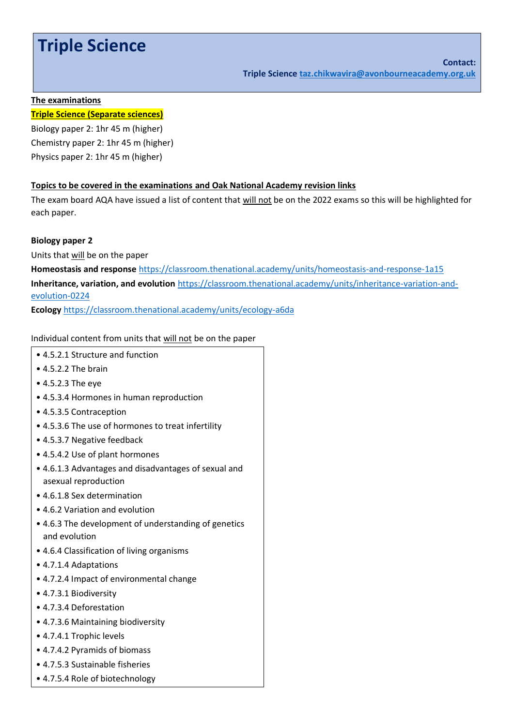## **Triple Science**

#### **The examinations**

#### **Triple Science (Separate sciences)**

Biology paper 2: 1hr 45 m (higher) Chemistry paper 2: 1hr 45 m (higher) Physics paper 2: 1hr 45 m (higher)

#### **Topics to be covered in the examinations and Oak National Academy revision links**

The exam board AQA have issued a list of content that will not be on the 2022 exams so this will be highlighted for each paper.

**Biology paper 2**

Units that will be on the paper

**Homeostasis and response** <https://classroom.thenational.academy/units/homeostasis-and-response-1a15> **Inheritance, variation, and evolution** [https://classroom.thenational.academy/units/inheritance-variation-and](https://classroom.thenational.academy/units/inheritance-variation-and-evolution-0224)[evolution-0224](https://classroom.thenational.academy/units/inheritance-variation-and-evolution-0224)

**Ecology** <https://classroom.thenational.academy/units/ecology-a6da>

Individual content from units that will not be on the paper

- 4.5.2.1 Structure and function
- 4.5.2.2 The brain
- 4.5.2.3 The eye
- 4.5.3.4 Hormones in human reproduction
- 4.5.3.5 Contraception
- 4.5.3.6 The use of hormones to treat infertility
- 4.5.3.7 Negative feedback
- 4.5.4.2 Use of plant hormones
- 4.6.1.3 Advantages and disadvantages of sexual and asexual reproduction
- 4.6.1.8 Sex determination
- 4.6.2 Variation and evolution
- 4.6.3 The development of understanding of genetics and evolution
- 4.6.4 Classification of living organisms
- 4.7.1.4 Adaptations
- 4.7.2.4 Impact of environmental change
- 4.7.3.1 Biodiversity
- 4.7.3.4 Deforestation
- 4.7.3.6 Maintaining biodiversity
- 4.7.4.1 Trophic levels
- 4.7.4.2 Pyramids of biomass
- 4.7.5.3 Sustainable fisheries
- 4.7.5.4 Role of biotechnology